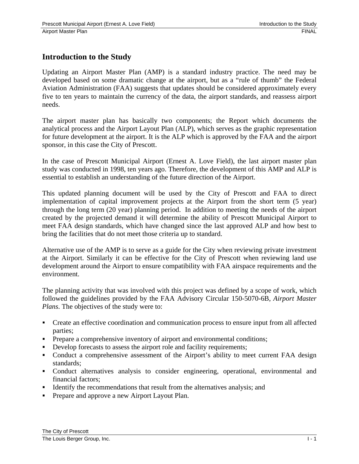## **Introduction to the Study**

Updating an Airport Master Plan (AMP) is a standard industry practice. The need may be developed based on some dramatic change at the airport, but as a "rule of thumb" the Federal Aviation Administration (FAA) suggests that updates should be considered approximately every five to ten years to maintain the currency of the data, the airport standards, and reassess airport needs.

The airport master plan has basically two components; the Report which documents the analytical process and the Airport Layout Plan (ALP), which serves as the graphic representation for future development at the airport. It is the ALP which is approved by the FAA and the airport sponsor, in this case the City of Prescott.

In the case of Prescott Municipal Airport (Ernest A. Love Field), the last airport master plan study was conducted in 1998, ten years ago. Therefore, the development of this AMP and ALP is essential to establish an understanding of the future direction of the Airport.

This updated planning document will be used by the City of Prescott and FAA to direct implementation of capital improvement projects at the Airport from the short term (5 year) through the long term (20 year) planning period. In addition to meeting the needs of the airport created by the projected demand it will determine the ability of Prescott Municipal Airport to meet FAA design standards, which have changed since the last approved ALP and how best to bring the facilities that do not meet those criteria up to standard.

Alternative use of the AMP is to serve as a guide for the City when reviewing private investment at the Airport. Similarly it can be effective for the City of Prescott when reviewing land use development around the Airport to ensure compatibility with FAA airspace requirements and the environment.

The planning activity that was involved with this project was defined by a scope of work, which followed the guidelines provided by the FAA Advisory Circular 150-5070-6B, *Airport Master Plans*. The objectives of the study were to:

- Create an effective coordination and communication process to ensure input from all affected parties;
- **Prepare a comprehensive inventory of airport and environmental conditions;**
- Develop forecasts to assess the airport role and facility requirements;
- Conduct a comprehensive assessment of the Airport's ability to meet current FAA design standards;
- Conduct alternatives analysis to consider engineering, operational, environmental and financial factors;
- Identify the recommendations that result from the alternatives analysis; and
- **Prepare and approve a new Airport Layout Plan.**